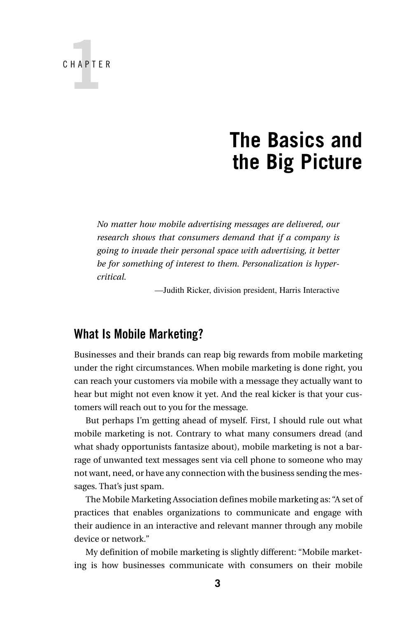

# **The Basics and the Big Picture**

*No matter how mobile advertising messages are delivered, our research shows that consumers demand that if a company is going to invade their personal space with advertising, it better be for something of interest to them. Personalization is hypercritical.*

—Judith Ricker, division president, Harris Interactive

#### **What Is Mobile Marketing?**

Businesses and their brands can reap big rewards from mobile marketing under the right circumstances. When mobile marketing is done right, you can reach your customers via mobile with a message they actually want to hear but might not even know it yet. And the real kicker is that your customers will reach out to you for the message.

But perhaps I'm getting ahead of myself. First, I should rule out what mobile marketing is not. Contrary to what many consumers dread (and what shady opportunists fantasize about), mobile marketing is not a barrage of unwanted text messages sent via cell phone to someone who may not want, need, or have any connection with the business sending the messages. That's just spam.

The Mobile Marketing Association defines mobile marketing as: "A set of practices that enables organizations to communicate and engage with their audience in an interactive and relevant manner through any mobile device or network."

My definition of mobile marketing is slightly different: "Mobile marketing is how businesses communicate with consumers on their mobile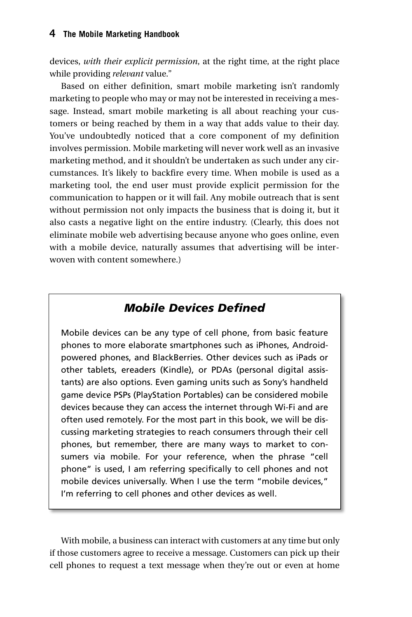devices, *with their explicit permission*, at the right time, at the right place while providing *relevant* value."

Based on either definition, smart mobile marketing isn't randomly marketing to people who may or may not be interested in receiving a message. Instead, smart mobile marketing is all about reaching your customers or being reached by them in a way that adds value to their day. You've undoubtedly noticed that a core component of my definition involves permission. Mobile marketing will never work well as an invasive marketing method, and it shouldn't be undertaken as such under any circumstances. It's likely to backfire every time. When mobile is used as a marketing tool, the end user must provide explicit permission for the communication to happen or it will fail. Any mobile outreach that is sent without permission not only impacts the business that is doing it, but it also casts a negative light on the entire industry. (Clearly, this does not eliminate mobile web advertising because anyone who goes online, even with a mobile device, naturally assumes that advertising will be interwoven with content somewhere.)

#### *Mobile Devices Defined*

Mobile devices can be any type of cell phone, from basic feature phones to more elaborate smartphones such as iPhones, Androidpowered phones, and BlackBerries. Other devices such as iPads or other tablets, ereaders (Kindle), or PDAs (personal digital assistants) are also options. Even gaming units such as Sony's handheld game device PSPs (PlayStation Portables) can be considered mobile devices because they can access the internet through Wi-Fi and are often used remotely. For the most part in this book, we will be discussing marketing strategies to reach consumers through their cell phones, but remember, there are many ways to market to consumers via mobile. For your reference, when the phrase "cell phone" is used, I am referring specifically to cell phones and not mobile devices universally. When I use the term "mobile devices," I'm referring to cell phones and other devices as well.

With mobile, a business can interact with customers at any time but only if those customers agree to receive a message. Customers can pick up their cell phones to request a text message when they're out or even at home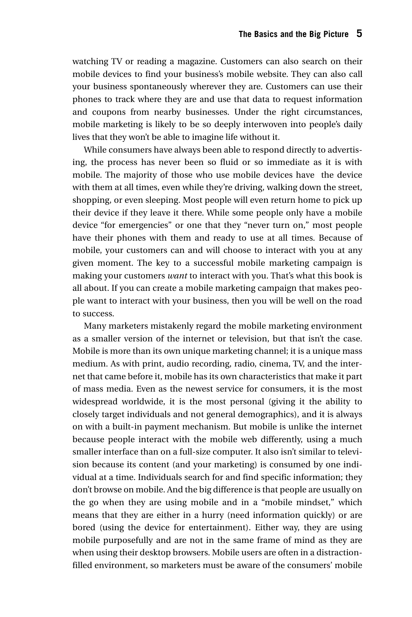watching TV or reading a magazine. Customers can also search on their mobile devices to find your business's mobile website. They can also call your business spontaneously wherever they are. Customers can use their phones to track where they are and use that data to request information and coupons from nearby businesses. Under the right circumstances, mobile marketing is likely to be so deeply interwoven into people's daily lives that they won't be able to imagine life without it.

While consumers have always been able to respond directly to advertising, the process has never been so fluid or so immediate as it is with mobile. The majority of those who use mobile devices have the device with them at all times, even while they're driving, walking down the street, shopping, or even sleeping. Most people will even return home to pick up their device if they leave it there. While some people only have a mobile device "for emergencies" or one that they "never turn on," most people have their phones with them and ready to use at all times. Because of mobile, your customers can and will choose to interact with you at any given moment. The key to a successful mobile marketing campaign is making your customers *want* to interact with you. That's what this book is all about. If you can create a mobile marketing campaign that makes people want to interact with your business, then you will be well on the road to success.

Many marketers mistakenly regard the mobile marketing environment as a smaller version of the internet or television, but that isn't the case. Mobile is more than its own unique marketing channel; it is a unique mass medium. As with print, audio recording, radio, cinema, TV, and the internet that came before it, mobile has its own characteristics that make it part of mass media. Even as the newest service for consumers, it is the most widespread worldwide, it is the most personal (giving it the ability to closely target individuals and not general demographics), and it is always on with a built-in payment mechanism. But mobile is unlike the internet because people interact with the mobile web differently, using a much smaller interface than on a full-size computer. It also isn't similar to television because its content (and your marketing) is consumed by one individual at a time. Individuals search for and find specific information; they don't browse on mobile. And the big difference is that people are usually on the go when they are using mobile and in a "mobile mindset," which means that they are either in a hurry (need information quickly) or are bored (using the device for entertainment). Either way, they are using mobile purposefully and are not in the same frame of mind as they are when using their desktop browsers. Mobile users are often in a distractionfilled environment, so marketers must be aware of the consumers' mobile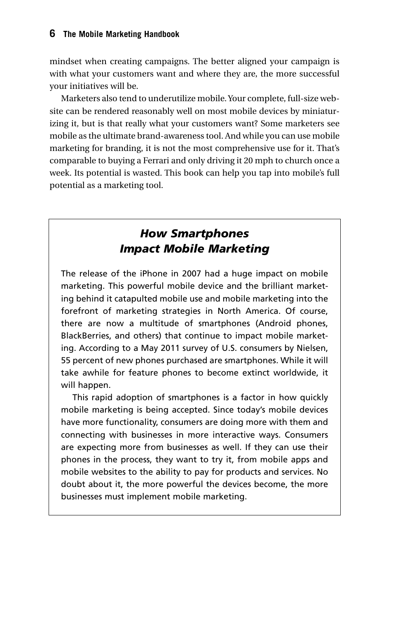mindset when creating campaigns. The better aligned your campaign is with what your customers want and where they are, the more successful your initiatives will be.

Marketers also tend to underutilize mobile. Your complete, full-size website can be rendered reasonably well on most mobile devices by miniaturizing it, but is that really what your customers want? Some marketers see mobile as the ultimate brand-awareness tool. And while you can use mobile marketing for branding, it is not the most comprehensive use for it. That's comparable to buying a Ferrari and only driving it 20 mph to church once a week. Its potential is wasted. This book can help you tap into mobile's full potential as a marketing tool.

#### *How Smartphones Impact Mobile Marketing*

The release of the iPhone in 2007 had a huge impact on mobile marketing. This powerful mobile device and the brilliant marketing behind it catapulted mobile use and mobile marketing into the forefront of marketing strategies in North America. Of course, there are now a multitude of smartphones (Android phones, BlackBerries, and others) that continue to impact mobile marketing. According to a May 2011 survey of U.S. consumers by Nielsen, 55 percent of new phones purchased are smartphones. While it will take awhile for feature phones to become extinct worldwide, it will happen.

This rapid adoption of smartphones is a factor in how quickly mobile marketing is being accepted. Since today's mobile devices have more functionality, consumers are doing more with them and connecting with businesses in more interactive ways. Consumers are expecting more from businesses as well. If they can use their phones in the process, they want to try it, from mobile apps and mobile websites to the ability to pay for products and services. No doubt about it, the more powerful the devices become, the more businesses must implement mobile marketing.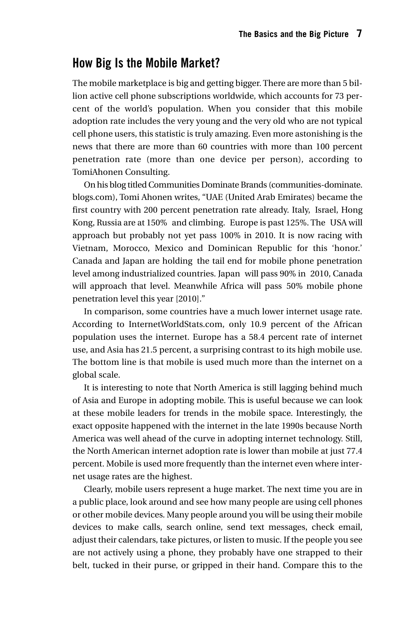#### **How Big Is the Mobile Market?**

The mobile marketplace is big and getting bigger. There are more than 5 billion active cell phone subscriptions worldwide, which accounts for 73 percent of the world's population. When you consider that this mobile adoption rate includes the very young and the very old who are not typical cell phone users, this statistic is truly amazing. Even more astonishing is the news that there are more than 60 countries with more than 100 percent penetration rate (more than one device per person), according to TomiAhonen Consulting.

On his blog titled Communities Dominate Brands (communities-dominate. blogs.com), Tomi Ahonen writes, "UAE (United Arab Emirates) became the first country with 200 percent penetration rate already. Italy, Israel, Hong Kong, Russia are at 150% and climbing. Europe is past 125%. The USA will approach but probably not yet pass 100% in 2010. It is now racing with Vietnam, Morocco, Mexico and Dominican Republic for this 'honor.' Canada and Japan are holding the tail end for mobile phone penetration level among industrialized countries. Japan will pass 90% in 2010, Canada will approach that level. Meanwhile Africa will pass 50% mobile phone penetration level this year [2010]."

In comparison, some countries have a much lower internet usage rate. According to InternetWorldStats.com, only 10.9 percent of the African population uses the internet. Europe has a 58.4 percent rate of internet use, and Asia has 21.5 percent, a surprising contrast to its high mobile use. The bottom line is that mobile is used much more than the internet on a global scale.

It is interesting to note that North America is still lagging behind much of Asia and Europe in adopting mobile. This is useful because we can look at these mobile leaders for trends in the mobile space. Interestingly, the exact opposite happened with the internet in the late 1990s because North America was well ahead of the curve in adopting internet technology. Still, the North American internet adoption rate is lower than mobile at just 77.4 percent. Mobile is used more frequently than the internet even where internet usage rates are the highest.

Clearly, mobile users represent a huge market. The next time you are in a public place, look around and see how many people are using cell phones or other mobile devices. Many people around you will be using their mobile devices to make calls, search online, send text messages, check email, adjust their calendars, take pictures, or listen to music. If the people you see are not actively using a phone, they probably have one strapped to their belt, tucked in their purse, or gripped in their hand. Compare this to the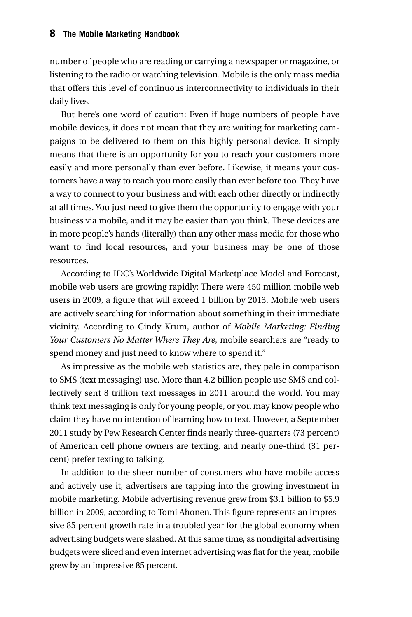#### **8 The Mobile Marketing Handbook**

number of people who are reading or carrying a newspaper or magazine, or listening to the radio or watching television. Mobile is the only mass media that offers this level of continuous interconnectivity to individuals in their daily lives.

But here's one word of caution: Even if huge numbers of people have mobile devices, it does not mean that they are waiting for marketing campaigns to be delivered to them on this highly personal device. It simply means that there is an opportunity for you to reach your customers more easily and more personally than ever before. Likewise, it means your customers have a way to reach you more easily than ever before too. They have a way to connect to your business and with each other directly or indirectly at all times. You just need to give them the opportunity to engage with your business via mobile, and it may be easier than you think. These devices are in more people's hands (literally) than any other mass media for those who want to find local resources, and your business may be one of those resources.

According to IDC's Worldwide Digital Marketplace Model and Forecast, mobile web users are growing rapidly: There were 450 million mobile web users in 2009, a figure that will exceed 1 billion by 2013. Mobile web users are actively searching for information about something in their immediate vicinity. According to Cindy Krum, author of *Mobile Marketing: Finding Your Customers No Matter Where They Are*, mobile searchers are "ready to spend money and just need to know where to spend it."

As impressive as the mobile web statistics are, they pale in comparison to SMS (text messaging) use. More than 4.2 billion people use SMS and collectively sent 8 trillion text messages in 2011 around the world. You may think text messaging is only for young people, or you may know people who claim they have no intention of learning how to text. However, a September 2011 study by Pew Research Center finds nearly three-quarters (73 percent) of American cell phone owners are texting, and nearly one-third (31 percent) prefer texting to talking.

In addition to the sheer number of consumers who have mobile access and actively use it, advertisers are tapping into the growing investment in mobile marketing. Mobile advertising revenue grew from \$3.1 billion to \$5.9 billion in 2009, according to Tomi Ahonen. This figure represents an impressive 85 percent growth rate in a troubled year for the global economy when advertising budgets were slashed. At this same time, as nondigital advertising budgets were sliced and even internet advertising was flat for the year, mobile grew by an impressive 85 percent.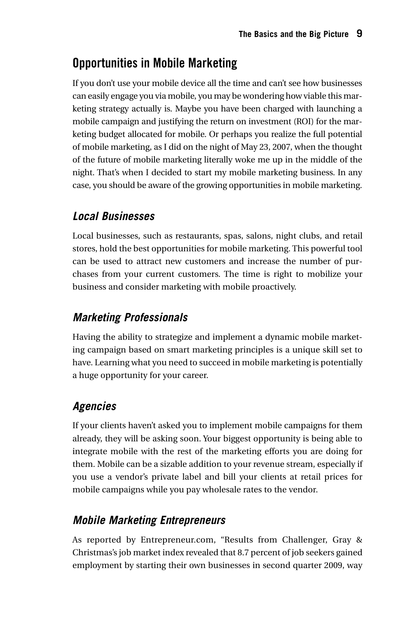## **Opportunities in Mobile Marketing**

If you don't use your mobile device all the time and can't see how businesses can easily engage you via mobile, you may be wondering how viable this marketing strategy actually is. Maybe you have been charged with launching a mobile campaign and justifying the return on investment (ROI) for the marketing budget allocated for mobile. Or perhaps you realize the full potential of mobile marketing, as I did on the night of May 23, 2007, when the thought of the future of mobile marketing literally woke me up in the middle of the night. That's when I decided to start my mobile marketing business. In any case, you should be aware of the growing opportunities in mobile marketing.

### *Local Businesses*

Local businesses, such as restaurants, spas, salons, night clubs, and retail stores, hold the best opportunities for mobile marketing. This powerful tool can be used to attract new customers and increase the number of purchases from your current customers. The time is right to mobilize your business and consider marketing with mobile proactively.

### *Marketing Professionals*

Having the ability to strategize and implement a dynamic mobile marketing campaign based on smart marketing principles is a unique skill set to have. Learning what you need to succeed in mobile marketing is potentially a huge opportunity for your career.

### *Agencies*

If your clients haven't asked you to implement mobile campaigns for them already, they will be asking soon. Your biggest opportunity is being able to integrate mobile with the rest of the marketing efforts you are doing for them. Mobile can be a sizable addition to your revenue stream, especially if you use a vendor's private label and bill your clients at retail prices for mobile campaigns while you pay wholesale rates to the vendor.

### *Mobile Marketing Entrepreneurs*

As reported by Entrepreneur.com, "Results from Challenger, Gray & Christmas's job market index revealed that 8.7 percent of job seekers gained employment by starting their own businesses in second quarter 2009, way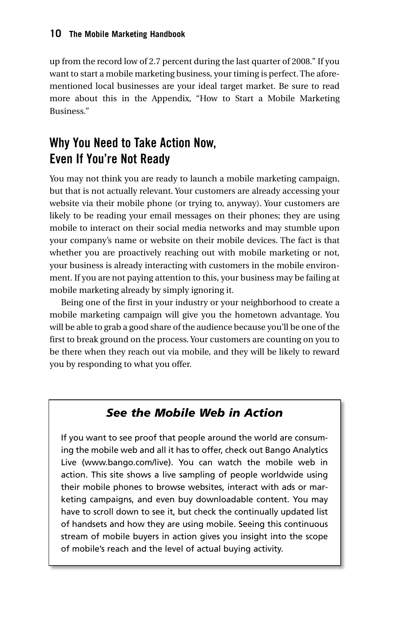up from the record low of 2.7 percent during the last quarter of 2008." If you want to start a mobile marketing business, your timing is perfect. The aforementioned local businesses are your ideal target market. Be sure to read more about this in the Appendix, "How to Start a Mobile Marketing Business."

## **Why You Need to Take Action Now, Even If You're Not Ready**

You may not think you are ready to launch a mobile marketing campaign, but that is not actually relevant. Your customers are already accessing your website via their mobile phone (or trying to, anyway). Your customers are likely to be reading your email messages on their phones; they are using mobile to interact on their social media networks and may stumble upon your company's name or website on their mobile devices. The fact is that whether you are proactively reaching out with mobile marketing or not, your business is already interacting with customers in the mobile environment. If you are not paying attention to this, your business may be failing at mobile marketing already by simply ignoring it.

Being one of the first in your industry or your neighborhood to create a mobile marketing campaign will give you the hometown advantage. You will be able to grab a good share of the audience because you'll be one of the first to break ground on the process. Your customers are counting on you to be there when they reach out via mobile, and they will be likely to reward you by responding to what you offer.

#### *See the Mobile Web in Action*

If you want to see proof that people around the world are consuming the mobile web and all it has to offer, check out Bango Analytics Live (www.bango.com/live). You can watch the mobile web in action. This site shows a live sampling of people worldwide using their mobile phones to browse websites, interact with ads or marketing campaigns, and even buy downloadable content. You may have to scroll down to see it, but check the continually updated list of handsets and how they are using mobile. Seeing this continuous stream of mobile buyers in action gives you insight into the scope of mobile's reach and the level of actual buying activity.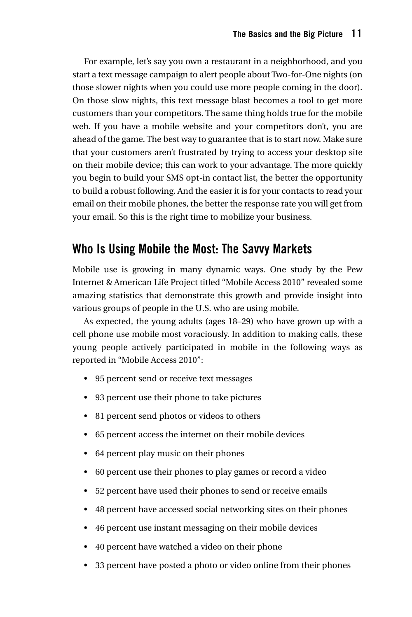For example, let's say you own a restaurant in a neighborhood, and you start a text message campaign to alert people about Two-for-One nights (on those slower nights when you could use more people coming in the door). On those slow nights, this text message blast becomes a tool to get more customers than your competitors. The same thing holds true for the mobile web. If you have a mobile website and your competitors don't, you are ahead of the game. The best way to guarantee that is to start now. Make sure that your customers aren't frustrated by trying to access your desktop site on their mobile device; this can work to your advantage. The more quickly you begin to build your SMS opt-in contact list, the better the opportunity to build a robust following. And the easier it is for your contacts to read your email on their mobile phones, the better the response rate you will get from your email. So this is the right time to mobilize your business.

#### **Who Is Using Mobile the Most: The Savvy Markets**

Mobile use is growing in many dynamic ways. One study by the Pew Internet & American Life Project titled "Mobile Access 2010" revealed some amazing statistics that demonstrate this growth and provide insight into various groups of people in the U.S. who are using mobile.

As expected, the young adults (ages 18–29) who have grown up with a cell phone use mobile most voraciously. In addition to making calls, these young people actively participated in mobile in the following ways as reported in "Mobile Access 2010":

- 95 percent send or receive text messages
- 93 percent use their phone to take pictures
- 81 percent send photos or videos to others
- 65 percent access the internet on their mobile devices
- 64 percent play music on their phones
- 60 percent use their phones to play games or record a video
- 52 percent have used their phones to send or receive emails
- 48 percent have accessed social networking sites on their phones
- 46 percent use instant messaging on their mobile devices
- 40 percent have watched a video on their phone
- 33 percent have posted a photo or video online from their phones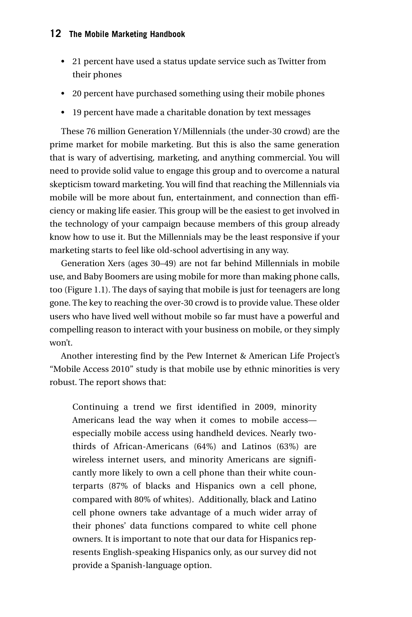#### **12 The Mobile Marketing Handbook**

- 21 percent have used a status update service such as Twitter from their phones
- 20 percent have purchased something using their mobile phones
- 19 percent have made a charitable donation by text messages

These 76 million Generation Y/Millennials (the under-30 crowd) are the prime market for mobile marketing. But this is also the same generation that is wary of advertising, marketing, and anything commercial. You will need to provide solid value to engage this group and to overcome a natural skepticism toward marketing. You will find that reaching the Millennials via mobile will be more about fun, entertainment, and connection than efficiency or making life easier. This group will be the easiest to get involved in the technology of your campaign because members of this group already know how to use it. But the Millennials may be the least responsive if your marketing starts to feel like old-school advertising in any way.

Generation Xers (ages 30–49) are not far behind Millennials in mobile use, and Baby Boomers are using mobile for more than making phone calls, too (Figure 1.1). The days of saying that mobile is just for teenagers are long gone. The key to reaching the over-30 crowd is to provide value. These older users who have lived well without mobile so far must have a powerful and compelling reason to interact with your business on mobile, or they simply won't.

Another interesting find by the Pew Internet & American Life Project's "Mobile Access 2010" study is that mobile use by ethnic minorities is very robust. The report shows that:

Continuing a trend we first identified in 2009, minority Americans lead the way when it comes to mobile access especially mobile access using handheld devices. Nearly twothirds of African-Americans (64%) and Latinos (63%) are wireless internet users, and minority Americans are significantly more likely to own a cell phone than their white counterparts (87% of blacks and Hispanics own a cell phone, compared with 80% of whites). Additionally, black and Latino cell phone owners take advantage of a much wider array of their phones' data functions compared to white cell phone owners. It is important to note that our data for Hispanics represents English-speaking Hispanics only, as our survey did not provide a Spanish-language option.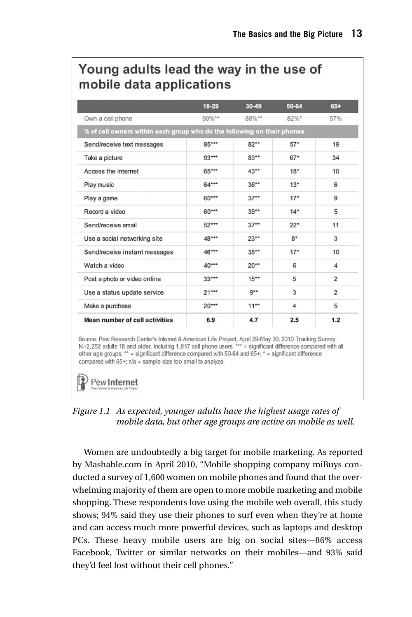## Young adults lead the way in the use of mobile data applications

|                                                                         | 18-29   | 30-49   | 50-64    | $65+$          |
|-------------------------------------------------------------------------|---------|---------|----------|----------------|
| Own a cell phone                                                        | 90%**   | 88%**   | $82\%$ * | 57%            |
| % of cell owners within each group who do the following on their phones |         |         |          |                |
| Send/receive text messages                                              | 95***   | $82**$  | $57*$    | 19             |
| Take a picture                                                          | $93***$ | $83**$  | $67*$    | 34             |
| Access the internet                                                     | 65***   | $43**$  | $18*$    | 10             |
| Play music                                                              | $64***$ | $36***$ | $13*$    | 6              |
| Play a game                                                             | $60***$ | $37**$  | $17*$    | 9              |
| Record a video                                                          | $60***$ | $39**$  | $14*$    | 5              |
| Send/receive email                                                      | $52***$ | $37**$  | $22*$    | 11             |
| Use a social networking site                                            | 48***   | $23**$  | $8*$     | 3              |
| Send/receive instant messages                                           | 46***   | $35**$  | $17*$    | 10             |
| Watch a video                                                           | $40***$ | $20**$  | 6        | 4              |
| Post a photo or video online                                            | $33***$ | $15***$ | 5        | $\overline{2}$ |
| Use a status update service                                             | $21***$ | $9**$   | 3        | $\overline{2}$ |
| Make a purchase                                                         | $20***$ | $11***$ | 4        | 5              |
| Mean number of cell activities                                          | 6.9     | 4.7     | 2.5      | 1.2            |

Source: Pew Research Center's Internet & American Life Project, April 29-May 30, 2010 Tracking Survey. N=2,252 adults 18 and older, including 1,917 cell phone users. \*\*\* = significant difference compared with all other age groups; \*\* = significant difference compared with 50-64 and 65+; \* = significant difference compared with 65+; n/a = sample size too small to analyze

Pew Internet

*Figure 1.1 As expected, younger adults have the highest usage rates of mobile data, but other age groups are active on mobile as well.*

Women are undoubtedly a big target for mobile marketing. As reported by Mashable.com in April 2010, "Mobile shopping company miBuys conducted a survey of 1,600 women on mobile phones and found that the overwhelming majority of them are open to more mobile marketing and mobile shopping. These respondents love using the mobile web overall, this study shows; 94% said they use their phones to surf even when they're at home and can access much more powerful devices, such as laptops and desktop PCs. These heavy mobile users are big on social sites—86% access Facebook, Twitter or similar networks on their mobiles—and 93% said they'd feel lost without their cell phones."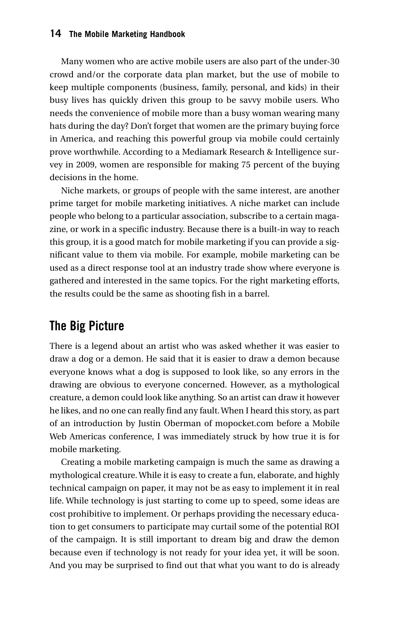#### **14 The Mobile Marketing Handbook**

Many women who are active mobile users are also part of the under-30 crowd and/or the corporate data plan market, but the use of mobile to keep multiple components (business, family, personal, and kids) in their busy lives has quickly driven this group to be savvy mobile users. Who needs the convenience of mobile more than a busy woman wearing many hats during the day? Don't forget that women are the primary buying force in America, and reaching this powerful group via mobile could certainly prove worthwhile. According to a Mediamark Research & Intelligence survey in 2009, women are responsible for making 75 percent of the buying decisions in the home.

Niche markets, or groups of people with the same interest, are another prime target for mobile marketing initiatives. A niche market can include people who belong to a particular association, subscribe to a certain magazine, or work in a specific industry. Because there is a built-in way to reach this group, it is a good match for mobile marketing if you can provide a significant value to them via mobile. For example, mobile marketing can be used as a direct response tool at an industry trade show where everyone is gathered and interested in the same topics. For the right marketing efforts, the results could be the same as shooting fish in a barrel.

#### **The Big Picture**

There is a legend about an artist who was asked whether it was easier to draw a dog or a demon. He said that it is easier to draw a demon because everyone knows what a dog is supposed to look like, so any errors in the drawing are obvious to everyone concerned. However, as a mythological creature, a demon could look like anything. So an artist can draw it however he likes, and no one can really find any fault. When I heard this story, as part of an introduction by Justin Oberman of mopocket.com before a Mobile Web Americas conference, I was immediately struck by how true it is for mobile marketing.

Creating a mobile marketing campaign is much the same as drawing a mythological creature. While it is easy to create a fun, elaborate, and highly technical campaign on paper, it may not be as easy to implement it in real life. While technology is just starting to come up to speed, some ideas are cost prohibitive to implement. Or perhaps providing the necessary education to get consumers to participate may curtail some of the potential ROI of the campaign. It is still important to dream big and draw the demon because even if technology is not ready for your idea yet, it will be soon. And you may be surprised to find out that what you want to do is already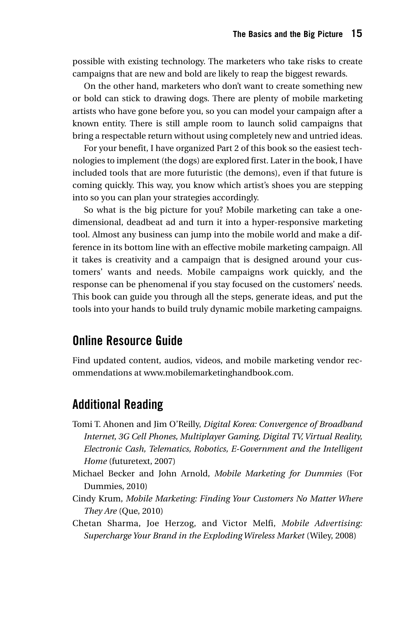possible with existing technology. The marketers who take risks to create campaigns that are new and bold are likely to reap the biggest rewards.

On the other hand, marketers who don't want to create something new or bold can stick to drawing dogs. There are plenty of mobile marketing artists who have gone before you, so you can model your campaign after a known entity. There is still ample room to launch solid campaigns that bring a respectable return without using completely new and untried ideas.

For your benefit, I have organized Part 2 of this book so the easiest technologies to implement (the dogs) are explored first. Later in the book, I have included tools that are more futuristic (the demons), even if that future is coming quickly. This way, you know which artist's shoes you are stepping into so you can plan your strategies accordingly.

So what is the big picture for you? Mobile marketing can take a onedimensional, deadbeat ad and turn it into a hyper-responsive marketing tool. Almost any business can jump into the mobile world and make a difference in its bottom line with an effective mobile marketing campaign. All it takes is creativity and a campaign that is designed around your customers' wants and needs. Mobile campaigns work quickly, and the response can be phenomenal if you stay focused on the customers' needs. This book can guide you through all the steps, generate ideas, and put the tools into your hands to build truly dynamic mobile marketing campaigns.

#### **Online Resource Guide**

Find updated content, audios, videos, and mobile marketing vendor recommendations at www.mobilemarketinghandbook.com.

#### **Additional Reading**

- Tomi T. Ahonen and Jim O'Reilly, *Digital Korea: Convergence of Broadband Internet, 3G Cell Phones, Multiplayer Gaming, Digital TV, Virtual Reality, Electronic Cash, Telematics, Robotics, E-Government and the Intelligent Home* (futuretext, 2007)
- Michael Becker and John Arnold, *Mobile Marketing for Dummies* (For Dummies, 2010)
- Cindy Krum, *Mobile Marketing: Finding Your Customers No Matter Where They Are* (Que, 2010)
- Chetan Sharma, Joe Herzog, and Victor Melfi, *Mobile Advertising: Supercharge Your Brand in the Exploding Wireless Market* (Wiley, 2008)